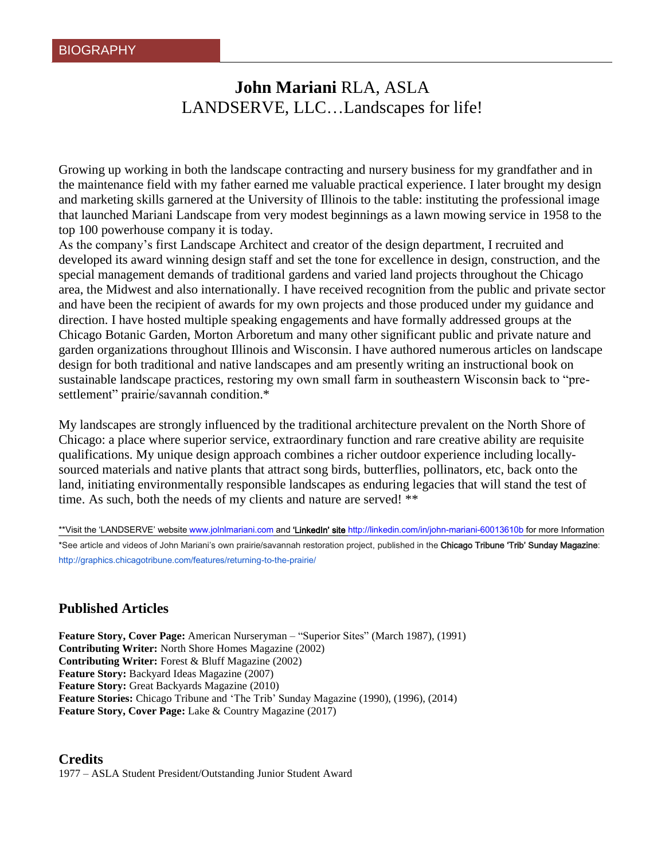# **John Mariani** RLA, ASLA LANDSERVE, LLC…Landscapes for life!

Growing up working in both the landscape contracting and nursery business for my grandfather and in the maintenance field with my father earned me valuable practical experience. I later brought my design and marketing skills garnered at the University of Illinois to the table: instituting the professional image that launched Mariani Landscape from very modest beginnings as a lawn mowing service in 1958 to the top 100 powerhouse company it is today.

As the company's first Landscape Architect and creator of the design department, I recruited and developed its award winning design staff and set the tone for excellence in design, construction, and the special management demands of traditional gardens and varied land projects throughout the Chicago area, the Midwest and also internationally. I have received recognition from the public and private sector and have been the recipient of awards for my own projects and those produced under my guidance and direction. I have hosted multiple speaking engagements and have formally addressed groups at the Chicago Botanic Garden, Morton Arboretum and many other significant public and private nature and garden organizations throughout Illinois and Wisconsin. I have authored numerous articles on landscape design for both traditional and native landscapes and am presently writing an instructional book on sustainable landscape practices, restoring my own small farm in southeastern Wisconsin back to "presettlement" prairie/savannah condition.\*

My landscapes are strongly influenced by the traditional architecture prevalent on the North Shore of Chicago: a place where superior service, extraordinary function and rare creative ability are requisite qualifications. My unique design approach combines a richer outdoor experience including locallysourced materials and native plants that attract song birds, butterflies, pollinators, etc, back onto the land, initiating environmentally responsible landscapes as enduring legacies that will stand the test of time. As such, both the needs of my clients and nature are served! \*\*

\*\*Visit the 'LANDSERVE' website [www.jolnlmariani.com](http://www.jolnlmariani.com/) and 'LinkedIn' site <http://linkedin.com/in/john-mariani-60013610b> for more Information \*See article and videos of John Mariani's own prairie/savannah restoration project, published in the Chicago Tribune 'Trib' Sunday Magazine: <http://graphics.chicagotribune.com/features/returning-to-the-prairie/>

# **Published Articles**

**Feature Story, Cover Page:** American Nurseryman – "Superior Sites" (March 1987), (1991) **Contributing Writer:** North Shore Homes Magazine (2002) **Contributing Writer:** Forest & Bluff Magazine (2002) **Feature Story:** Backyard Ideas Magazine (2007) **Feature Story:** Great Backyards Magazine (2010) **Feature Stories:** Chicago Tribune and 'The Trib' Sunday Magazine (1990), (1996), (2014) **Feature Story, Cover Page:** Lake & Country Magazine (2017)

**Credits** 1977 – ASLA Student President/Outstanding Junior Student Award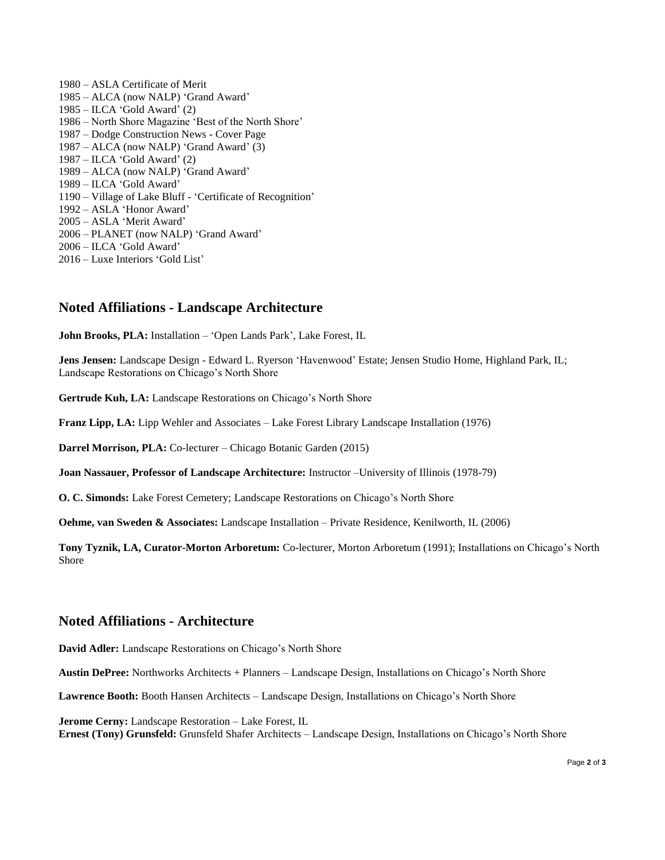1980 – ASLA Certificate of Merit 1985 – ALCA (now NALP) 'Grand Award' 1985 – ILCA 'Gold Award' (2) 1986 – North Shore Magazine 'Best of the North Shore' 1987 – Dodge Construction News - Cover Page 1987 – ALCA (now NALP) 'Grand Award' (3) 1987 – ILCA 'Gold Award' (2) 1989 – ALCA (now NALP) 'Grand Award' 1989 – ILCA 'Gold Award' 1190 – Village of Lake Bluff - 'Certificate of Recognition' 1992 – ASLA 'Honor Award' 2005 – ASLA 'Merit Award' 2006 – PLANET (now NALP) 'Grand Award' 2006 – ILCA 'Gold Award' 2016 – Luxe Interiors 'Gold List'

### **Noted Affiliations - Landscape Architecture**

**John Brooks, PLA:** Installation – 'Open Lands Park', Lake Forest, IL

**Jens Jensen:** Landscape Design - Edward L. Ryerson 'Havenwood' Estate; Jensen Studio Home, Highland Park, IL; Landscape Restorations on Chicago's North Shore

**Gertrude Kuh, LA:** Landscape Restorations on Chicago's North Shore

**Franz Lipp, LA:** Lipp Wehler and Associates – Lake Forest Library Landscape Installation (1976)

**Darrel Morrison, PLA:** Co-lecturer – Chicago Botanic Garden (2015)

**Joan Nassauer, Professor of Landscape Architecture:** Instructor –University of Illinois (1978-79)

**O. C. Simonds:** Lake Forest Cemetery; Landscape Restorations on Chicago's North Shore

**Oehme, van Sweden & Associates:** Landscape Installation – Private Residence, Kenilworth, IL (2006)

**Tony Tyznik, LA, Curator-Morton Arboretum:** Co-lecturer, Morton Arboretum (1991); Installations on Chicago's North Shore

#### **Noted Affiliations - Architecture**

**David Adler:** Landscape Restorations on Chicago's North Shore

**Austin DePree:** Northworks Architects + Planners – Landscape Design, Installations on Chicago's North Shore

**Lawrence Booth:** Booth Hansen Architects – Landscape Design, Installations on Chicago's North Shore

**Jerome Cerny:** Landscape Restoration – Lake Forest, IL **Ernest (Tony) Grunsfeld:** Grunsfeld Shafer Architects – Landscape Design, Installations on Chicago's North Shore